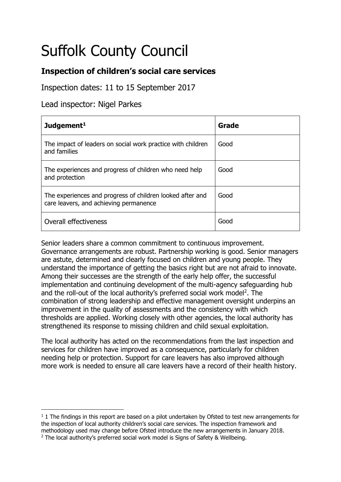# Suffolk County Council

# **Inspection of children's social care services**

Inspection dates: 11 to 15 September 2017

Lead inspector: Nigel Parkes

| Judgement <sup>1</sup>                                                                              | Grade |
|-----------------------------------------------------------------------------------------------------|-------|
| The impact of leaders on social work practice with children<br>and families                         | Good  |
| The experiences and progress of children who need help<br>and protection                            | Good  |
| The experiences and progress of children looked after and<br>care leavers, and achieving permanence | Good  |
| Overall effectiveness                                                                               | Good  |

Senior leaders share a common commitment to continuous improvement. Governance arrangements are robust. Partnership working is good. Senior managers are astute, determined and clearly focused on children and young people. They understand the importance of getting the basics right but are not afraid to innovate. Among their successes are the strength of the early help offer, the successful implementation and continuing development of the multi-agency safeguarding hub and the roll-out of the local authority's preferred social work model<sup>2</sup>. The combination of strong leadership and effective management oversight underpins an improvement in the quality of assessments and the consistency with which thresholds are applied. Working closely with other agencies, the local authority has strengthened its response to missing children and child sexual exploitation.

The local authority has acted on the recommendations from the last inspection and services for children have improved as a consequence, particularly for children needing help or protection. Support for care leavers has also improved although more work is needed to ensure all care leavers have a record of their health history.

<sup>-</sup> $1$  1 The findings in this report are based on a pilot undertaken by Ofsted to test new arrangements for the inspection of local authority children's social care services. The inspection framework and methodology used may change before Ofsted introduce the new arrangements in January 2018. <sup>2</sup> The local authority's preferred social work model is Signs of Safety & Wellbeing.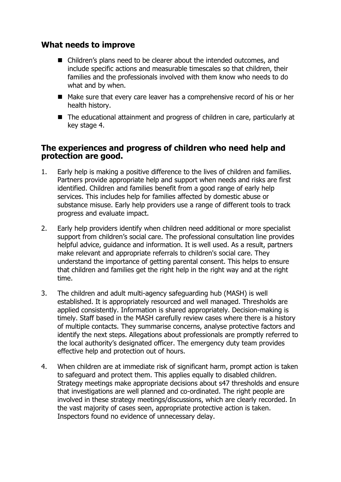## **What needs to improve**

- Children's plans need to be clearer about the intended outcomes, and include specific actions and measurable timescales so that children, their families and the professionals involved with them know who needs to do what and by when.
- Make sure that every care leaver has a comprehensive record of his or her health history.
- The educational attainment and progress of children in care, particularly at key stage 4.

#### **The experiences and progress of children who need help and protection are good.**

- 1. Early help is making a positive difference to the lives of children and families. Partners provide appropriate help and support when needs and risks are first identified. Children and families benefit from a good range of early help services. This includes help for families affected by domestic abuse or substance misuse. Early help providers use a range of different tools to track progress and evaluate impact.
- 2. Early help providers identify when children need additional or more specialist support from children's social care. The professional consultation line provides helpful advice, guidance and information. It is well used. As a result, partners make relevant and appropriate referrals to children's social care. They understand the importance of getting parental consent. This helps to ensure that children and families get the right help in the right way and at the right time.
- 3. The children and adult multi-agency safeguarding hub (MASH) is well established. It is appropriately resourced and well managed. Thresholds are applied consistently. Information is shared appropriately. Decision-making is timely. Staff based in the MASH carefully review cases where there is a history of multiple contacts. They summarise concerns, analyse protective factors and identify the next steps. Allegations about professionals are promptly referred to the local authority's designated officer. The emergency duty team provides effective help and protection out of hours.
- 4. When children are at immediate risk of significant harm, prompt action is taken to safeguard and protect them. This applies equally to disabled children. Strategy meetings make appropriate decisions about s47 thresholds and ensure that investigations are well planned and co-ordinated. The right people are involved in these strategy meetings/discussions, which are clearly recorded. In the vast majority of cases seen, appropriate protective action is taken. Inspectors found no evidence of unnecessary delay.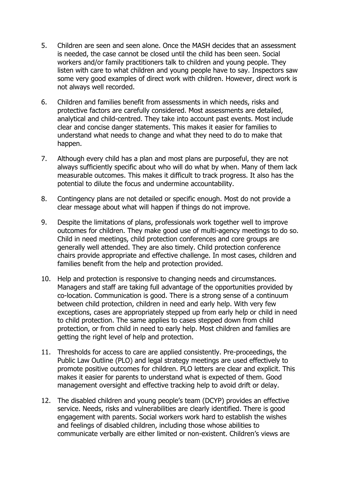- 5. Children are seen and seen alone. Once the MASH decides that an assessment is needed, the case cannot be closed until the child has been seen. Social workers and/or family practitioners talk to children and young people. They listen with care to what children and young people have to say. Inspectors saw some very good examples of direct work with children. However, direct work is not always well recorded.
- 6. Children and families benefit from assessments in which needs, risks and protective factors are carefully considered. Most assessments are detailed, analytical and child-centred. They take into account past events. Most include clear and concise danger statements. This makes it easier for families to understand what needs to change and what they need to do to make that happen.
- 7. Although every child has a plan and most plans are purposeful, they are not always sufficiently specific about who will do what by when. Many of them lack measurable outcomes. This makes it difficult to track progress. It also has the potential to dilute the focus and undermine accountability.
- 8. Contingency plans are not detailed or specific enough. Most do not provide a clear message about what will happen if things do not improve.
- 9. Despite the limitations of plans, professionals work together well to improve outcomes for children. They make good use of multi-agency meetings to do so. Child in need meetings, child protection conferences and core groups are generally well attended. They are also timely. Child protection conference chairs provide appropriate and effective challenge. In most cases, children and families benefit from the help and protection provided.
- 10. Help and protection is responsive to changing needs and circumstances. Managers and staff are taking full advantage of the opportunities provided by co-location. Communication is good. There is a strong sense of a continuum between child protection, children in need and early help. With very few exceptions, cases are appropriately stepped up from early help or child in need to child protection. The same applies to cases stepped down from child protection, or from child in need to early help. Most children and families are getting the right level of help and protection.
- 11. Thresholds for access to care are applied consistently. Pre-proceedings, the Public Law Outline (PLO) and legal strategy meetings are used effectively to promote positive outcomes for children. PLO letters are clear and explicit. This makes it easier for parents to understand what is expected of them. Good management oversight and effective tracking help to avoid drift or delay.
- 12. The disabled children and young people's team (DCYP) provides an effective service. Needs, risks and vulnerabilities are clearly identified. There is good engagement with parents. Social workers work hard to establish the wishes and feelings of disabled children, including those whose abilities to communicate verbally are either limited or non-existent. Children's views are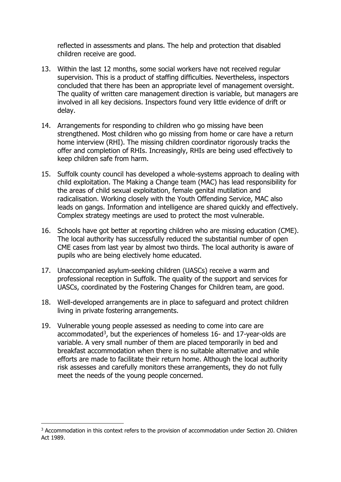reflected in assessments and plans. The help and protection that disabled children receive are good.

- 13. Within the last 12 months, some social workers have not received regular supervision. This is a product of staffing difficulties. Nevertheless, inspectors concluded that there has been an appropriate level of management oversight. The quality of written care management direction is variable, but managers are involved in all key decisions. Inspectors found very little evidence of drift or delay.
- 14. Arrangements for responding to children who go missing have been strengthened. Most children who go missing from home or care have a return home interview (RHI). The missing children coordinator rigorously tracks the offer and completion of RHIs. Increasingly, RHIs are being used effectively to keep children safe from harm.
- 15. Suffolk county council has developed a whole-systems approach to dealing with child exploitation. The Making a Change team (MAC) has lead responsibility for the areas of child sexual exploitation, female genital mutilation and radicalisation. Working closely with the Youth Offending Service, MAC also leads on gangs. Information and intelligence are shared quickly and effectively. Complex strategy meetings are used to protect the most vulnerable.
- 16. Schools have got better at reporting children who are missing education (CME). The local authority has successfully reduced the substantial number of open CME cases from last year by almost two thirds. The local authority is aware of pupils who are being electively home educated.
- 17. Unaccompanied asylum-seeking children (UASCs) receive a warm and professional reception in Suffolk. The quality of the support and services for UASCs, coordinated by the Fostering Changes for Children team, are good.
- 18. Well-developed arrangements are in place to safeguard and protect children living in private fostering arrangements.
- 19. Vulnerable young people assessed as needing to come into care are accommodated<sup>3</sup>, but the experiences of homeless 16- and 17-year-olds are variable. A very small number of them are placed temporarily in bed and breakfast accommodation when there is no suitable alternative and while efforts are made to facilitate their return home. Although the local authority risk assesses and carefully monitors these arrangements, they do not fully meet the needs of the young people concerned.

-

<sup>&</sup>lt;sup>3</sup> Accommodation in this context refers to the provision of accommodation under Section 20. Children Act 1989.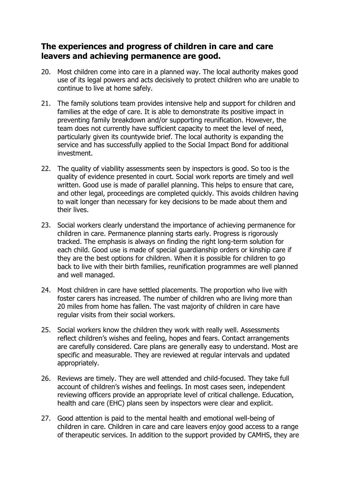# **The experiences and progress of children in care and care leavers and achieving permanence are good.**

- 20. Most children come into care in a planned way. The local authority makes good use of its legal powers and acts decisively to protect children who are unable to continue to live at home safely.
- 21. The family solutions team provides intensive help and support for children and families at the edge of care. It is able to demonstrate its positive impact in preventing family breakdown and/or supporting reunification. However, the team does not currently have sufficient capacity to meet the level of need, particularly given its countywide brief. The local authority is expanding the service and has successfully applied to the Social Impact Bond for additional investment.
- 22. The quality of viability assessments seen by inspectors is good. So too is the quality of evidence presented in court. Social work reports are timely and well written. Good use is made of parallel planning. This helps to ensure that care, and other legal, proceedings are completed quickly. This avoids children having to wait longer than necessary for key decisions to be made about them and their lives.
- 23. Social workers clearly understand the importance of achieving permanence for children in care. Permanence planning starts early. Progress is rigorously tracked. The emphasis is always on finding the right long-term solution for each child. Good use is made of special guardianship orders or kinship care if they are the best options for children. When it is possible for children to go back to live with their birth families, reunification programmes are well planned and well managed.
- 24. Most children in care have settled placements. The proportion who live with foster carers has increased. The number of children who are living more than 20 miles from home has fallen. The vast majority of children in care have regular visits from their social workers.
- 25. Social workers know the children they work with really well. Assessments reflect children's wishes and feeling, hopes and fears. Contact arrangements are carefully considered. Care plans are generally easy to understand. Most are specific and measurable. They are reviewed at regular intervals and updated appropriately.
- 26. Reviews are timely. They are well attended and child-focused. They take full account of children's wishes and feelings. In most cases seen, independent reviewing officers provide an appropriate level of critical challenge. Education, health and care (EHC) plans seen by inspectors were clear and explicit.
- 27. Good attention is paid to the mental health and emotional well-being of children in care. Children in care and care leavers enjoy good access to a range of therapeutic services. In addition to the support provided by CAMHS, they are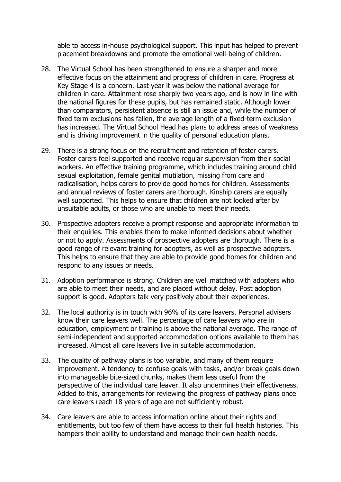able to access in-house psychological support. This input has helped to prevent placement breakdowns and promote the emotional well-being of children.

- 28. The Virtual School has been strengthened to ensure a sharper and more effective focus on the attainment and progress of children in care. Progress at Key Stage 4 is a concern. Last year it was below the national average for children in care. Attainment rose sharply two years ago, and is now in line with the national figures for these pupils, but has remained static. Although lower than comparators, persistent absence is still an issue and, while the number of fixed term exclusions has fallen, the average length of a fixed-term exclusion has increased. The Virtual School Head has plans to address areas of weakness and is driving improvement in the quality of personal education plans.
- 29. There is a strong focus on the recruitment and retention of foster carers. Foster carers feel supported and receive regular supervision from their social workers. An effective training programme, which includes training around child sexual exploitation, female genital mutilation, missing from care and radicalisation, helps carers to provide good homes for children. Assessments and annual reviews of foster carers are thorough. Kinship carers are equally well supported. This helps to ensure that children are not looked after by unsuitable adults, or those who are unable to meet their needs.
- 30. Prospective adopters receive a prompt response and appropriate information to their enquiries. This enables them to make informed decisions about whether or not to apply. Assessments of prospective adopters are thorough. There is a good range of relevant training for adopters, as well as prospective adopters. This helps to ensure that they are able to provide good homes for children and respond to any issues or needs.
- 31. Adoption performance is strong. Children are well matched with adopters who are able to meet their needs, and are placed without delay. Post adoption support is good. Adopters talk very positively about their experiences.
- 32. The local authority is in touch with 96% of its care leavers. Personal advisers know their care leavers well. The percentage of care leavers who are in education, employment or training is above the national average. The range of semi-independent and supported accommodation options available to them has increased. Almost all care leavers live in suitable accommodation.
- 33. The quality of pathway plans is too variable, and many of them require improvement. A tendency to confuse goals with tasks, and/or break goals down into manageable bite-sized chunks, makes them less useful from the perspective of the individual care leaver. It also undermines their effectiveness. Added to this, arrangements for reviewing the progress of pathway plans once care leavers reach 18 years of age are not sufficiently robust.
- 34. Care leavers are able to access information online about their rights and entitlements, but too few of them have access to their full health histories. This hampers their ability to understand and manage their own health needs.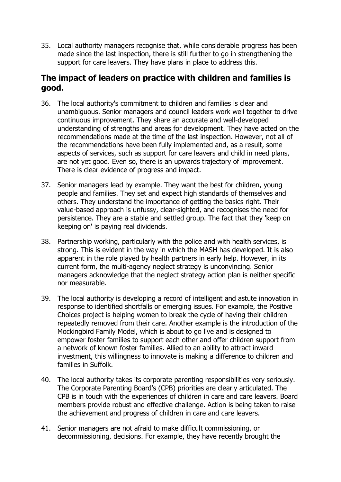35. Local authority managers recognise that, while considerable progress has been made since the last inspection, there is still further to go in strengthening the support for care leavers. They have plans in place to address this.

# **The impact of leaders on practice with children and families is good.**

- 36. The local authority's commitment to children and families is clear and unambiguous. Senior managers and council leaders work well together to drive continuous improvement. They share an accurate and well-developed understanding of strengths and areas for development. They have acted on the recommendations made at the time of the last inspection. However, not all of the recommendations have been fully implemented and, as a result, some aspects of services, such as support for care leavers and child in need plans, are not yet good. Even so, there is an upwards trajectory of improvement. There is clear evidence of progress and impact.
- 37. Senior managers lead by example. They want the best for children, young people and families. They set and expect high standards of themselves and others. They understand the importance of getting the basics right. Their value-based approach is unfussy, clear-sighted, and recognises the need for persistence. They are a stable and settled group. The fact that they 'keep on keeping on' is paying real dividends.
- 38. Partnership working, particularly with the police and with health services, is strong. This is evident in the way in which the MASH has developed. It is also apparent in the role played by health partners in early help. However, in its current form, the multi-agency neglect strategy is unconvincing. Senior managers acknowledge that the neglect strategy action plan is neither specific nor measurable.
- 39. The local authority is developing a record of intelligent and astute innovation in response to identified shortfalls or emerging issues. For example, the Positive Choices project is helping women to break the cycle of having their children repeatedly removed from their care. Another example is the introduction of the Mockingbird Family Model, which is about to go live and is designed to empower foster families to support each other and offer children support from a network of known foster families. Allied to an ability to attract inward investment, this willingness to innovate is making a difference to children and families in Suffolk.
- 40. The local authority takes its corporate parenting responsibilities very seriously. The Corporate Parenting Board's (CPB) priorities are clearly articulated. The CPB is in touch with the experiences of children in care and care leavers. Board members provide robust and effective challenge. Action is being taken to raise the achievement and progress of children in care and care leavers.
- 41. Senior managers are not afraid to make difficult commissioning, or decommissioning, decisions. For example, they have recently brought the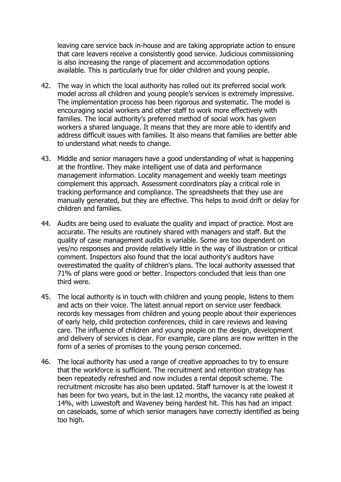leaving care service back in-house and are taking appropriate action to ensure that care leavers receive a consistently good service. Judicious commissioning is also increasing the range of placement and accommodation options available. This is particularly true for older children and young people.

- 42. The way in which the local authority has rolled out its preferred social work model across all children and young people's services is extremely impressive. The implementation process has been rigorous and systematic. The model is encouraging social workers and other staff to work more effectively with families. The local authority's preferred method of social work has given workers a shared language. It means that they are more able to identify and address difficult issues with families. It also means that families are better able to understand what needs to change.
- 43. Middle and senior managers have a good understanding of what is happening at the frontline. They make intelligent use of data and performance management information. Locality management and weekly team meetings complement this approach. Assessment coordinators play a critical role in tracking performance and compliance. The spreadsheets that they use are manually generated, but they are effective. This helps to avoid drift or delay for children and families.
- 44. Audits are being used to evaluate the quality and impact of practice. Most are accurate. The results are routinely shared with managers and staff. But the quality of case management audits is variable. Some are too dependent on yes/no responses and provide relatively little in the way of illustration or critical comment. Inspectors also found that the local authority's auditors have overestimated the quality of children's plans. The local authority assessed that 71% of plans were good or better. Inspectors concluded that less than one third were.
- 45. The local authority is in touch with children and young people, listens to them and acts on their voice. The latest annual report on service user feedback records key messages from children and young people about their experiences of early help, child protection conferences, child in care reviews and leaving care. The influence of children and young people on the design, development and delivery of services is clear. For example, care plans are now written in the form of a series of promises to the young person concerned.
- 46. The local authority has used a range of creative approaches to try to ensure that the workforce is sufficient. The recruitment and retention strategy has been repeatedly refreshed and now includes a rental deposit scheme. The recruitment microsite has also been updated. Staff turnover is at the lowest it has been for two years, but in the last 12 months, the vacancy rate peaked at 14%, with Lowestoft and Waveney being hardest hit. This has had an impact on caseloads, some of which senior managers have correctly identified as being too high.